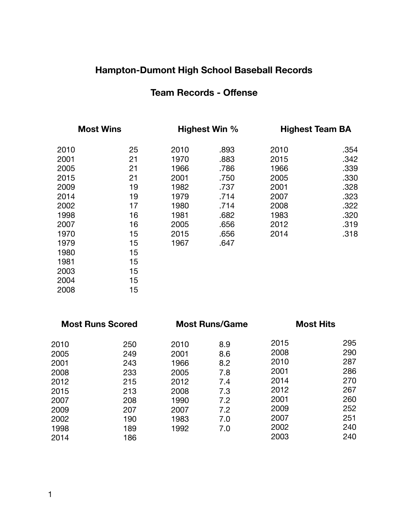## **Hampton-Dumont High School Baseball Records**

#### **Team Records - Offense**

| <b>Most Wins</b> |    | Highest Win % |      | <b>Highest Team BA</b> |      |
|------------------|----|---------------|------|------------------------|------|
| 2010             | 25 | 2010          | .893 | 2010                   | .354 |
| 2001             | 21 | 1970          | .883 | 2015                   | .342 |
| 2005             | 21 | 1966          | .786 | 1966                   | .339 |
| 2015             | 21 | 2001          | .750 | 2005                   | .330 |
| 2009             | 19 | 1982          | .737 | 2001                   | .328 |
| 2014             | 19 | 1979          | .714 | 2007                   | .323 |
| 2002             | 17 | 1980          | .714 | 2008                   | .322 |
| 1998             | 16 | 1981          | .682 | 1983                   | .320 |
| 2007             | 16 | 2005          | .656 | 2012                   | .319 |
| 1970             | 15 | 2015          | .656 | 2014                   | .318 |
| 1979             | 15 | 1967          | .647 |                        |      |
| 1980             | 15 |               |      |                        |      |
| 1981             | 15 |               |      |                        |      |
| 2003             | 15 |               |      |                        |      |
| 2004             | 15 |               |      |                        |      |
| 2008             | 15 |               |      |                        |      |

| <b>Most Runs Scored</b>                                     |                                                                      |                                                             | <b>Most Hits</b>                                                     |                                                             |
|-------------------------------------------------------------|----------------------------------------------------------------------|-------------------------------------------------------------|----------------------------------------------------------------------|-------------------------------------------------------------|
| 250<br>249<br>243<br>233<br>215<br>213<br>208<br>207<br>190 | 2010<br>2001<br>1966<br>2005<br>2012<br>2008<br>1990<br>2007<br>1983 | 8.9<br>8.6<br>8.2<br>7.8<br>7.4<br>7.3<br>7.2<br>7.2<br>7.0 | 2015<br>2008<br>2010<br>2001<br>2014<br>2012<br>2001<br>2009<br>2007 | 295<br>290<br>287<br>286<br>270<br>267<br>260<br>252<br>251 |
| 189<br>186                                                  | 1992                                                                 | 7.0                                                         | 2002<br>2003                                                         | 240<br>240                                                  |
|                                                             |                                                                      |                                                             | <b>Most Runs/Game</b>                                                |                                                             |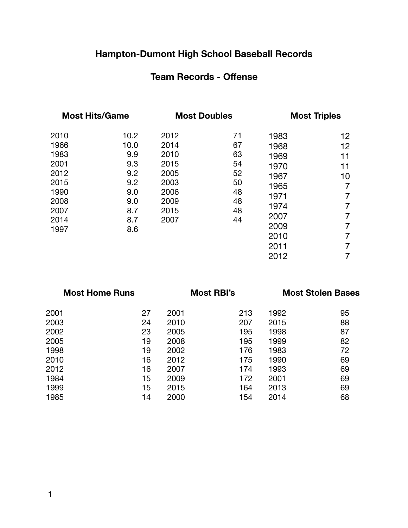# **Hampton-Dumont High School Baseball Records**

#### **Team Records - Offense**

| <b>Most Hits/Game</b>                                                                |                                                                             | <b>Most Doubles</b>                                                          |                                                          | <b>Most Triples</b>                                                                          |                                                          |
|--------------------------------------------------------------------------------------|-----------------------------------------------------------------------------|------------------------------------------------------------------------------|----------------------------------------------------------|----------------------------------------------------------------------------------------------|----------------------------------------------------------|
| 2010<br>1966<br>1983<br>2001<br>2012<br>2015<br>1990<br>2008<br>2007<br>2014<br>1997 | 10.2<br>10.0<br>9.9<br>9.3<br>9.2<br>9.2<br>9.0<br>9.0<br>8.7<br>8.7<br>8.6 | 2012<br>2014<br>2010<br>2015<br>2005<br>2003<br>2006<br>2009<br>2015<br>2007 | 71<br>67<br>63<br>54<br>52<br>50<br>48<br>48<br>48<br>44 | 1983<br>1968<br>1969<br>1970<br>1967<br>1965<br>1971<br>1974<br>2007<br>2009<br>2010<br>2011 | 12<br>12<br>11<br>11<br>10<br>7<br>7<br>7<br>7<br>7<br>7 |
|                                                                                      |                                                                             |                                                                              |                                                          | 2012                                                                                         |                                                          |

| <b>Most Home Runs</b> |    | <b>Most RBI's</b> |     | <b>Most Stolen Bases</b> |    |
|-----------------------|----|-------------------|-----|--------------------------|----|
| 2001                  | 27 | 2001              | 213 | 1992                     | 95 |
| 2003                  | 24 | 2010              | 207 | 2015                     | 88 |
| 2002                  | 23 | 2005              | 195 | 1998                     | 87 |
| 2005                  | 19 | 2008              | 195 | 1999                     | 82 |
| 1998                  | 19 | 2002              | 176 | 1983                     | 72 |
| 2010                  | 16 | 2012              | 175 | 1990                     | 69 |
| 2012                  | 16 | 2007              | 174 | 1993                     | 69 |
| 1984                  | 15 | 2009              | 172 | 2001                     | 69 |
| 1999                  | 15 | 2015              | 164 | 2013                     | 69 |
| 1985                  | 14 | 2000              | 154 | 2014                     | 68 |